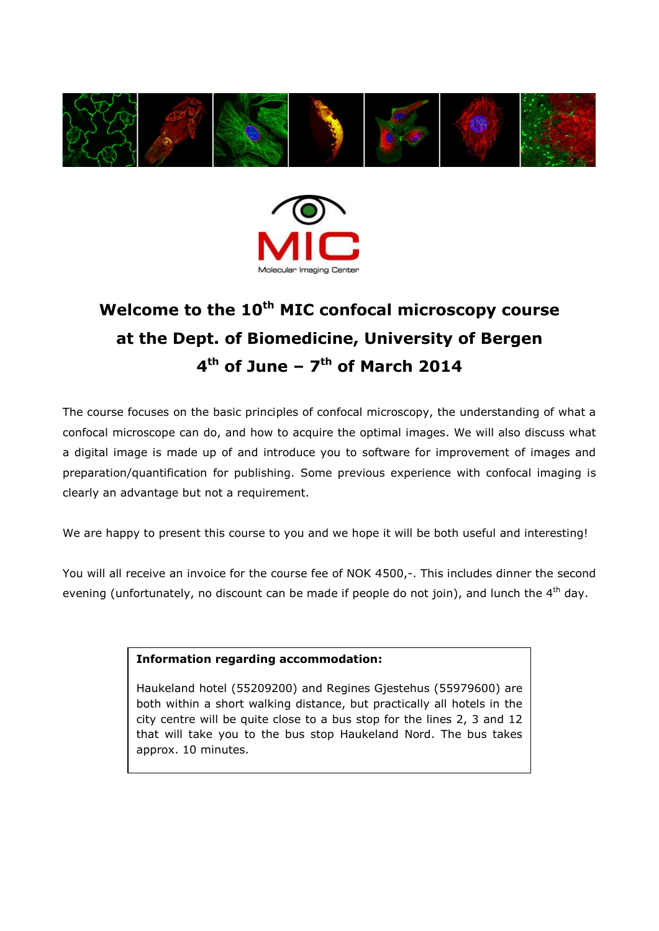



# **Welcome to the 10th MIC confocal microscopy course at the Dept. of Biomedicine, University of Bergen 4 th of June – 7 th of March 2014**

The course focuses on the basic principles of confocal microscopy, the understanding of what a confocal microscope can do, and how to acquire the optimal images. We will also discuss what a digital image is made up of and introduce you to software for improvement of images and preparation/quantification for publishing. Some previous experience with confocal imaging is clearly an advantage but not a requirement.

We are happy to present this course to you and we hope it will be both useful and interesting!

You will all receive an invoice for the course fee of NOK 4500,-. This includes dinner the second evening (unfortunately, no discount can be made if people do not join), and lunch the 4<sup>th</sup> day.

# **Information regarding accommodation:**

Haukeland hotel (55209200) and Regines Gjestehus (55979600) are both within a short walking distance, but practically all hotels in the city centre will be quite close to a bus stop for the lines 2, 3 and 12 that will take you to the bus stop Haukeland Nord. The bus takes approx. 10 minutes.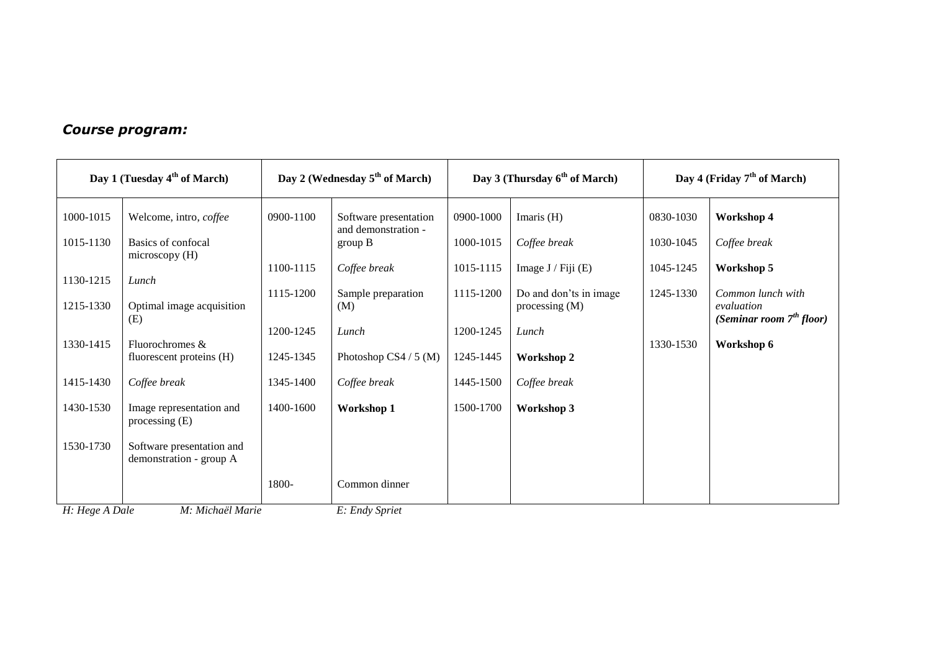# *Course program:*

| Day 1 (Tuesday $4th$ of March) |                                                                                                                                                                                 | Day 2 (Wednesday 5 <sup>th</sup> of March) |                                                         | Day 3 (Thursday $6th$ of March)     |                                                                    | Day 4 (Friday $7th$ of March) |                                               |
|--------------------------------|---------------------------------------------------------------------------------------------------------------------------------------------------------------------------------|--------------------------------------------|---------------------------------------------------------|-------------------------------------|--------------------------------------------------------------------|-------------------------------|-----------------------------------------------|
| 1000-1015<br>1015-1130         | Welcome, intro, coffee<br>Basics of confocal                                                                                                                                    | 0900-1100                                  | Software presentation<br>and demonstration -<br>group B | 0900-1000<br>1000-1015              | Imaris $(H)$<br>Coffee break                                       | 0830-1030<br>1030-1045        | Workshop 4<br>Coffee break                    |
| 1130-1215<br>1215-1330         | microscopy (H)<br>Lunch<br>Optimal image acquisition                                                                                                                            | 1100-1115<br>1115-1200                     | Coffee break<br>Sample preparation<br>(M)               | 1015-1115<br>1115-1200              | Image $J$ / Fiji (E)<br>Do and don'ts in image<br>processing $(M)$ | 1045-1245<br>1245-1330        | Workshop 5<br>Common lunch with<br>evaluation |
| 1330-1415                      | (E)<br>Fluorochromes &                                                                                                                                                          | 1200-1245                                  | Lunch                                                   | 1200-1245                           | Lunch                                                              | 1330-1530                     | (Seminar room $7th$ floor)<br>Workshop 6      |
| 1415-1430<br>1430-1530         | fluorescent proteins (H)<br>Coffee break                                                                                                                                        | 1245-1345<br>1345-1400<br>1400-1600        | Photoshop CS4 $/$ 5 (M)<br>Coffee break                 | 1245-1445<br>1445-1500<br>1500-1700 | <b>Workshop 2</b><br>Coffee break                                  |                               |                                               |
| 1530-1730                      | Image representation and<br>processing $(E)$<br>Software presentation and                                                                                                       |                                            | Workshop 1                                              |                                     | Workshop 3                                                         |                               |                                               |
| $\sim$ $\sim$ $\sim$           | demonstration - group A<br>$\mathbf{v}$ and $\mathbf{v}$ are $\mathbf{v}$ and $\mathbf{v}$ and $\mathbf{v}$ are $\mathbf{v}$ and $\mathbf{v}$ are $\mathbf{v}$ and $\mathbf{v}$ | 1800-                                      | Common dinner<br>-----                                  |                                     |                                                                    |                               |                                               |

*H: Hege A Dale M: Michaël Marie E: Endy Spriet*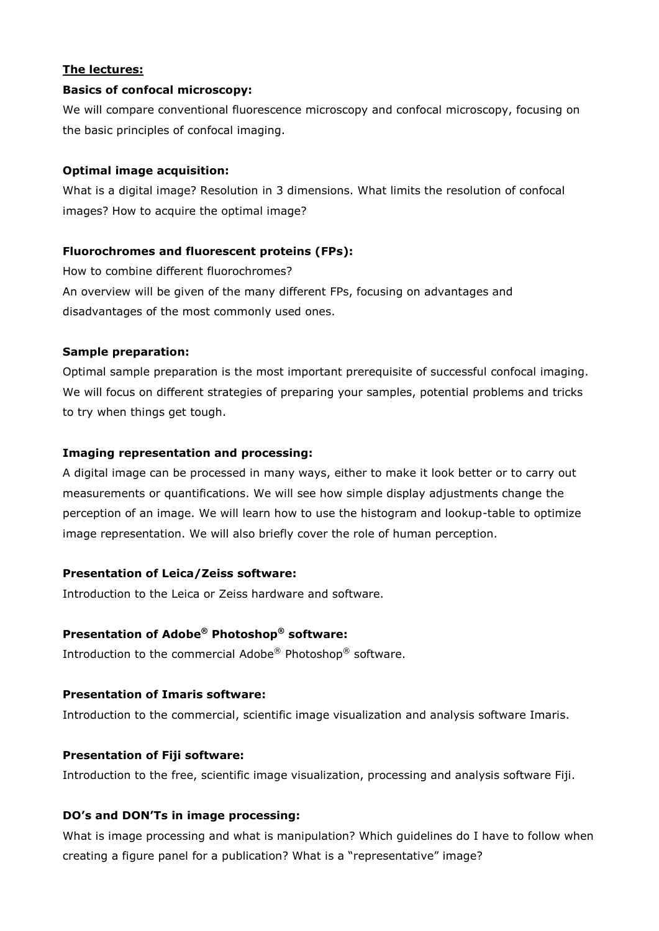# **The lectures:**

#### **Basics of confocal microscopy:**

We will compare conventional fluorescence microscopy and confocal microscopy, focusing on the basic principles of confocal imaging.

#### **Optimal image acquisition:**

What is a digital image? Resolution in 3 dimensions. What limits the resolution of confocal images? How to acquire the optimal image?

#### **Fluorochromes and fluorescent proteins (FPs):**

How to combine different fluorochromes? An overview will be given of the many different FPs, focusing on advantages and disadvantages of the most commonly used ones.

#### **Sample preparation:**

Optimal sample preparation is the most important prerequisite of successful confocal imaging. We will focus on different strategies of preparing your samples, potential problems and tricks to try when things get tough.

#### **Imaging representation and processing:**

A digital image can be processed in many ways, either to make it look better or to carry out measurements or quantifications. We will see how simple display adjustments change the perception of an image. We will learn how to use the histogram and lookup-table to optimize image representation. We will also briefly cover the role of human perception.

## **Presentation of Leica/Zeiss software:**

Introduction to the Leica or Zeiss hardware and software.

## **Presentation of Adobe® Photoshop® software:**

Introduction to the commercial Adobe® Photoshop® software.

# **Presentation of Imaris software:**

Introduction to the commercial, scientific image visualization and analysis software Imaris.

# **Presentation of Fiji software:**

Introduction to the free, scientific image visualization, processing and analysis software Fiji.

#### **DO's and DON'Ts in image processing:**

What is image processing and what is manipulation? Which guidelines do I have to follow when creating a figure panel for a publication? What is a "representative" image?